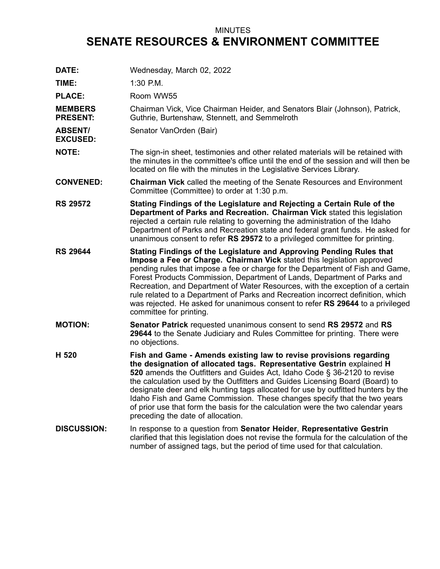## MINUTES **SENATE RESOURCES & ENVIRONMENT COMMITTEE**

| DATE:                             | Wednesday, March 02, 2022                                                                                                                                                                                                                                                                                                                                                                                                                                                                                                                                                                         |
|-----------------------------------|---------------------------------------------------------------------------------------------------------------------------------------------------------------------------------------------------------------------------------------------------------------------------------------------------------------------------------------------------------------------------------------------------------------------------------------------------------------------------------------------------------------------------------------------------------------------------------------------------|
| TIME:                             | $1:30$ P.M.                                                                                                                                                                                                                                                                                                                                                                                                                                                                                                                                                                                       |
| <b>PLACE:</b>                     | Room WW55                                                                                                                                                                                                                                                                                                                                                                                                                                                                                                                                                                                         |
| <b>MEMBERS</b><br><b>PRESENT:</b> | Chairman Vick, Vice Chairman Heider, and Senators Blair (Johnson), Patrick,<br>Guthrie, Burtenshaw, Stennett, and Semmelroth                                                                                                                                                                                                                                                                                                                                                                                                                                                                      |
| <b>ABSENT/</b><br><b>EXCUSED:</b> | Senator VanOrden (Bair)                                                                                                                                                                                                                                                                                                                                                                                                                                                                                                                                                                           |
| <b>NOTE:</b>                      | The sign-in sheet, testimonies and other related materials will be retained with<br>the minutes in the committee's office until the end of the session and will then be<br>located on file with the minutes in the Legislative Services Library.                                                                                                                                                                                                                                                                                                                                                  |
| <b>CONVENED:</b>                  | <b>Chairman Vick</b> called the meeting of the Senate Resources and Environment<br>Committee (Committee) to order at 1:30 p.m.                                                                                                                                                                                                                                                                                                                                                                                                                                                                    |
| <b>RS 29572</b>                   | Stating Findings of the Legislature and Rejecting a Certain Rule of the<br>Department of Parks and Recreation. Chairman Vick stated this legislation<br>rejected a certain rule relating to governing the administration of the Idaho<br>Department of Parks and Recreation state and federal grant funds. He asked for<br>unanimous consent to refer RS 29572 to a privileged committee for printing.                                                                                                                                                                                            |
| <b>RS 29644</b>                   | Stating Findings of the Legislature and Approving Pending Rules that<br>Impose a Fee or Charge. Chairman Vick stated this legislation approved<br>pending rules that impose a fee or charge for the Department of Fish and Game,<br>Forest Products Commission, Department of Lands, Department of Parks and<br>Recreation, and Department of Water Resources, with the exception of a certain<br>rule related to a Department of Parks and Recreation incorrect definition, which<br>was rejected. He asked for unanimous consent to refer RS 29644 to a privileged<br>committee for printing.   |
| <b>MOTION:</b>                    | <b>Senator Patrick requested unanimous consent to send RS 29572 and RS</b><br>29644 to the Senate Judiciary and Rules Committee for printing. There were<br>no objections.                                                                                                                                                                                                                                                                                                                                                                                                                        |
| H 520                             | Fish and Game - Amends existing law to revise provisions regarding<br>the designation of allocated tags. Representative Gestrin explained H<br>520 amends the Outfitters and Guides Act, Idaho Code § 36-2120 to revise<br>the calculation used by the Outfitters and Guides Licensing Board (Board) to<br>designate deer and elk hunting tags allocated for use by outfitted hunters by the<br>Idaho Fish and Game Commission. These changes specify that the two years<br>of prior use that form the basis for the calculation were the two calendar years<br>preceding the date of allocation. |
| <b>DISCUSSION:</b>                | In response to a question from Senator Heider, Representative Gestrin<br>clarified that this legislation does not revise the formula for the calculation of the<br>number of assigned tags, but the period of time used for that calculation.                                                                                                                                                                                                                                                                                                                                                     |